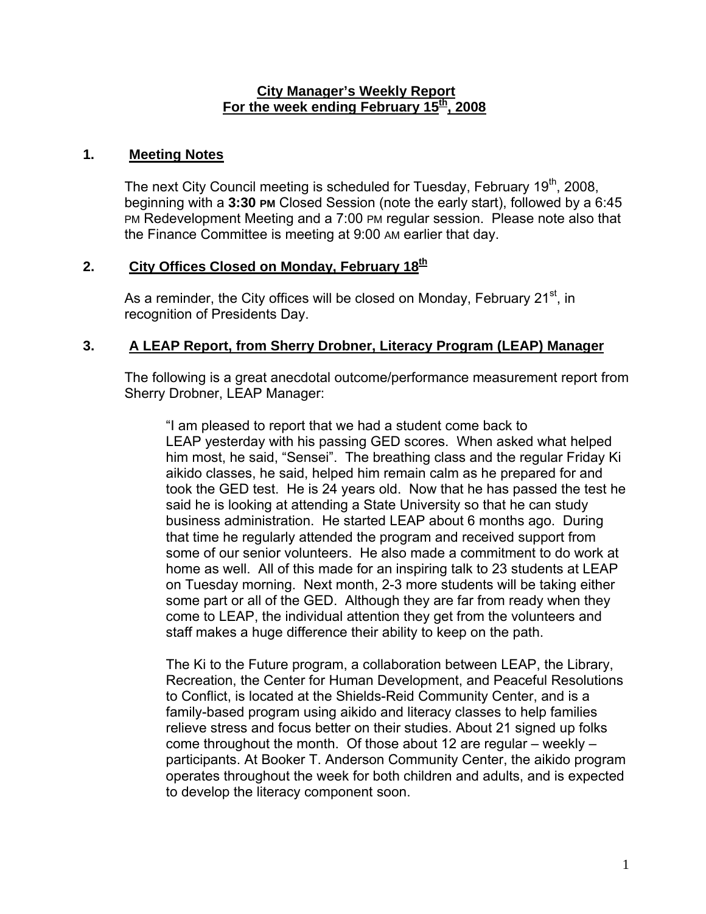#### **City Manager's Weekly Report** For the week ending February 15<sup>th</sup>, 2008

### **1. Meeting Notes**

The next City Council meeting is scheduled for Tuesday, February  $19<sup>th</sup>$ , 2008, beginning with a **3:30 PM** Closed Session (note the early start), followed by a 6:45 PM Redevelopment Meeting and a 7:00 PM regular session. Please note also that the Finance Committee is meeting at 9:00 AM earlier that day.

# 2. City Offices Closed on Monday, February 18<sup>th</sup>

As a reminder, the City offices will be closed on Monday, February 21 $^{\rm st}$ , in recognition of Presidents Day.

# **3. A LEAP Report, from Sherry Drobner, Literacy Program (LEAP) Manager**

The following is a great anecdotal outcome/performance measurement report from Sherry Drobner, LEAP Manager:

"I am pleased to report that we had a student come back to LEAP yesterday with his passing GED scores. When asked what helped him most, he said, "Sensei". The breathing class and the regular Friday Ki aikido classes, he said, helped him remain calm as he prepared for and took the GED test. He is 24 years old. Now that he has passed the test he said he is looking at attending a State University so that he can study business administration. He started LEAP about 6 months ago. During that time he regularly attended the program and received support from some of our senior volunteers. He also made a commitment to do work at home as well. All of this made for an inspiring talk to 23 students at LEAP on Tuesday morning. Next month, 2-3 more students will be taking either some part or all of the GED. Although they are far from ready when they come to LEAP, the individual attention they get from the volunteers and staff makes a huge difference their ability to keep on the path.

The Ki to the Future program, a collaboration between LEAP, the Library, Recreation, the Center for Human Development, and Peaceful Resolutions to Conflict, is located at the Shields-Reid Community Center, and is a family-based program using aikido and literacy classes to help families relieve stress and focus better on their studies. About 21 signed up folks come throughout the month. Of those about 12 are regular – weekly – participants. At Booker T. Anderson Community Center, the aikido program operates throughout the week for both children and adults, and is expected to develop the literacy component soon.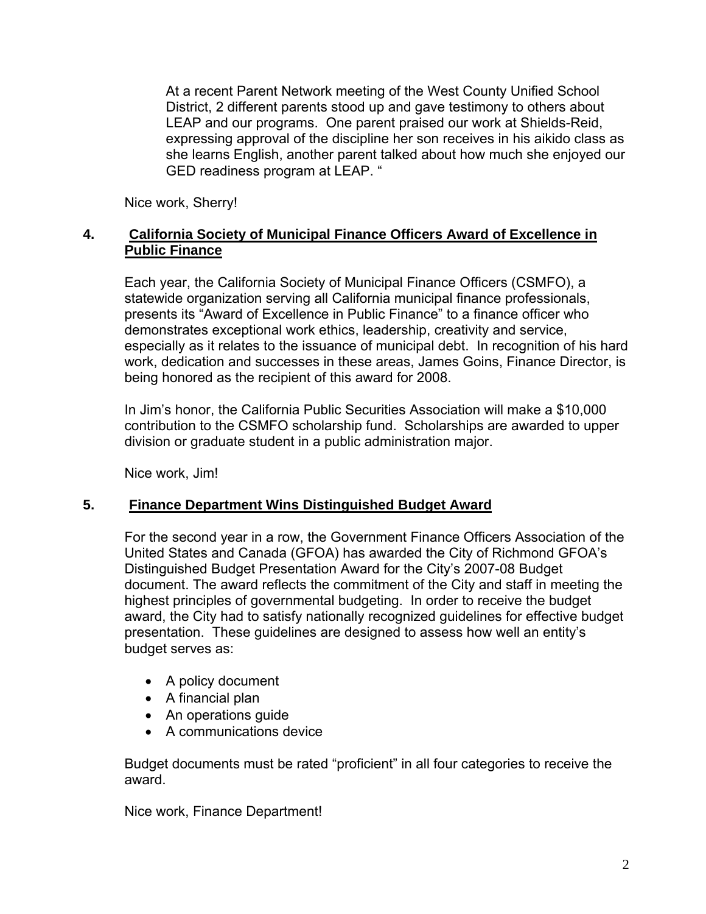At a recent Parent Network meeting of the West County Unified School District, 2 different parents stood up and gave testimony to others about LEAP and our programs. One parent praised our work at Shields-Reid, expressing approval of the discipline her son receives in his aikido class as she learns English, another parent talked about how much she enjoyed our GED readiness program at LEAP. "

Nice work, Sherry!

# **4. California Society of Municipal Finance Officers Award of Excellence in Public Finance**

Each year, the California Society of Municipal Finance Officers (CSMFO), a statewide organization serving all California municipal finance professionals, presents its "Award of Excellence in Public Finance" to a finance officer who demonstrates exceptional work ethics, leadership, creativity and service, especially as it relates to the issuance of municipal debt. In recognition of his hard work, dedication and successes in these areas, James Goins, Finance Director, is being honored as the recipient of this award for 2008.

In Jim's honor, the California Public Securities Association will make a \$10,000 contribution to the CSMFO scholarship fund. Scholarships are awarded to upper division or graduate student in a public administration major.

Nice work, Jim!

# **5. Finance Department Wins Distinguished Budget Award**

For the second year in a row, the Government Finance Officers Association of the United States and Canada (GFOA) has awarded the City of Richmond GFOA's Distinguished Budget Presentation Award for the City's 2007-08 Budget document. The award reflects the commitment of the City and staff in meeting the highest principles of governmental budgeting. In order to receive the budget award, the City had to satisfy nationally recognized guidelines for effective budget presentation. These guidelines are designed to assess how well an entity's budget serves as:

- A policy document
- A financial plan
- An operations guide
- A communications device

Budget documents must be rated "proficient" in all four categories to receive the award.

Nice work, Finance Department!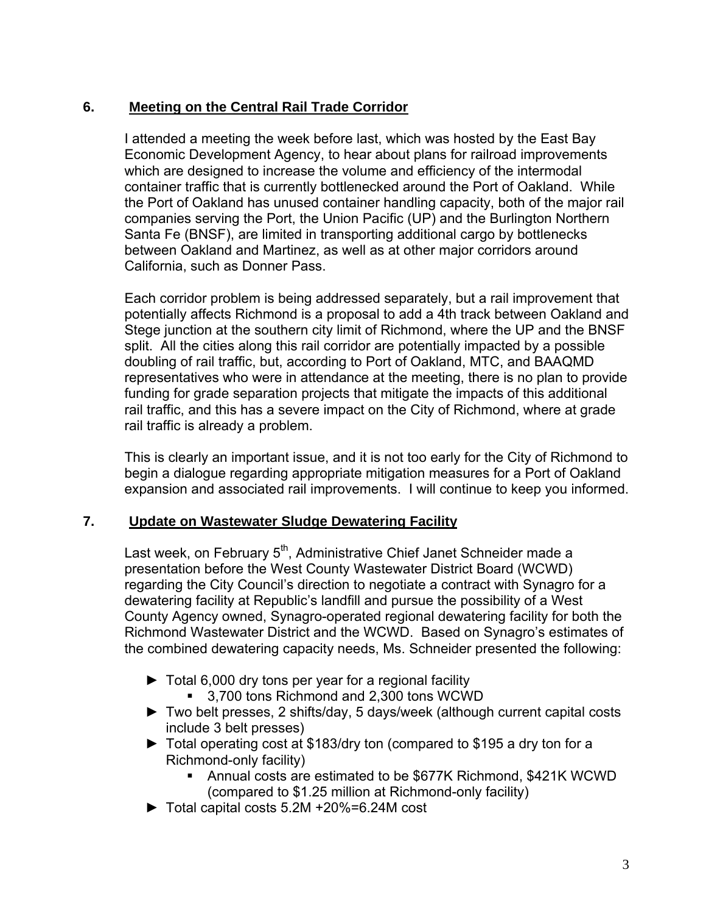# **6. Meeting on the Central Rail Trade Corridor**

I attended a meeting the week before last, which was hosted by the East Bay Economic Development Agency, to hear about plans for railroad improvements which are designed to increase the volume and efficiency of the intermodal container traffic that is currently bottlenecked around the Port of Oakland. While the Port of Oakland has unused container handling capacity, both of the major rail companies serving the Port, the Union Pacific (UP) and the Burlington Northern Santa Fe (BNSF), are limited in transporting additional cargo by bottlenecks between Oakland and Martinez, as well as at other major corridors around California, such as Donner Pass.

Each corridor problem is being addressed separately, but a rail improvement that potentially affects Richmond is a proposal to add a 4th track between Oakland and Stege junction at the southern city limit of Richmond, where the UP and the BNSF split. All the cities along this rail corridor are potentially impacted by a possible doubling of rail traffic, but, according to Port of Oakland, MTC, and BAAQMD representatives who were in attendance at the meeting, there is no plan to provide funding for grade separation projects that mitigate the impacts of this additional rail traffic, and this has a severe impact on the City of Richmond, where at grade rail traffic is already a problem.

This is clearly an important issue, and it is not too early for the City of Richmond to begin a dialogue regarding appropriate mitigation measures for a Port of Oakland expansion and associated rail improvements. I will continue to keep you informed.

# **7. Update on Wastewater Sludge Dewatering Facility**

Last week, on February 5<sup>th</sup>, Administrative Chief Janet Schneider made a presentation before the West County Wastewater District Board (WCWD) regarding the City Council's direction to negotiate a contract with Synagro for a dewatering facility at Republic's landfill and pursue the possibility of a West County Agency owned, Synagro-operated regional dewatering facility for both the Richmond Wastewater District and the WCWD. Based on Synagro's estimates of the combined dewatering capacity needs, Ms. Schneider presented the following:

- ► Total 6,000 dry tons per year for a regional facility
	- 3,700 tons Richmond and 2,300 tons WCWD
- ► Two belt presses, 2 shifts/day, 5 days/week (although current capital costs include 3 belt presses)
- ► Total operating cost at \$183/dry ton (compared to \$195 a dry ton for a Richmond-only facility)
	- Annual costs are estimated to be \$677K Richmond, \$421K WCWD (compared to \$1.25 million at Richmond-only facility)
- ► Total capital costs 5.2M +20%=6.24M cost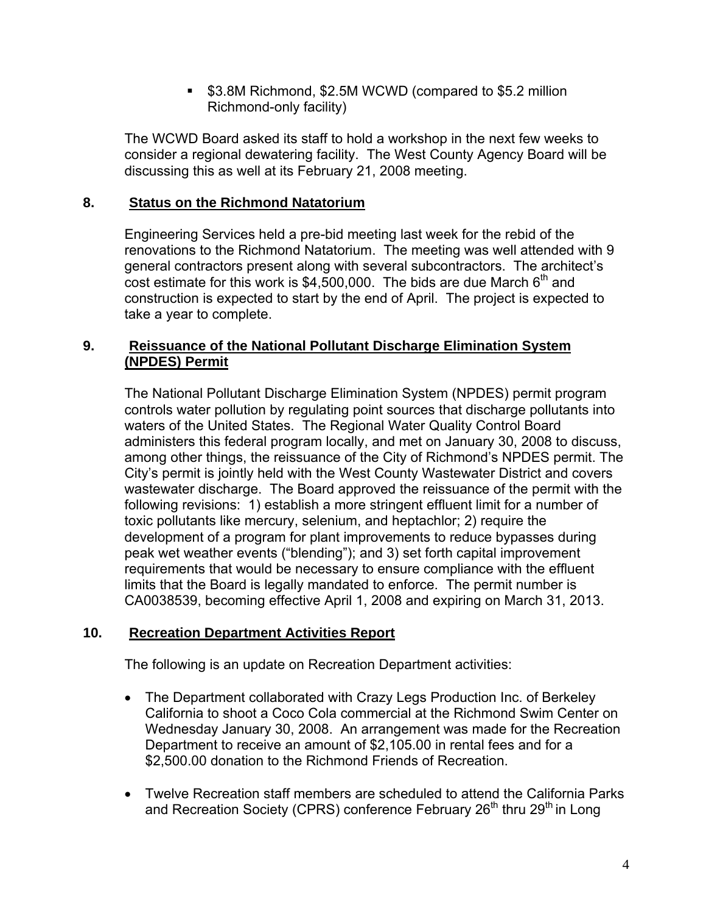**53.8M Richmond, \$2.5M WCWD (compared to \$5.2 million** Richmond-only facility)

The WCWD Board asked its staff to hold a workshop in the next few weeks to consider a regional dewatering facility. The West County Agency Board will be discussing this as well at its February 21, 2008 meeting.

# **8. Status on the Richmond Natatorium**

Engineering Services held a pre-bid meeting last week for the rebid of the renovations to the Richmond Natatorium. The meeting was well attended with 9 general contractors present along with several subcontractors. The architect's cost estimate for this work is  $$4,500,000$ . The bids are due March  $6<sup>th</sup>$  and construction is expected to start by the end of April. The project is expected to take a year to complete.

## **9. Reissuance of the National Pollutant Discharge Elimination System (NPDES) Permit**

The National Pollutant Discharge Elimination System (NPDES) permit program controls water pollution by regulating point sources that discharge pollutants into waters of the United States. The Regional Water Quality Control Board administers this federal program locally, and met on January 30, 2008 to discuss, among other things, the reissuance of the City of Richmond's NPDES permit. The City's permit is jointly held with the West County Wastewater District and covers wastewater discharge. The Board approved the reissuance of the permit with the following revisions: 1) establish a more stringent effluent limit for a number of toxic pollutants like mercury, selenium, and heptachlor; 2) require the development of a program for plant improvements to reduce bypasses during peak wet weather events ("blending"); and 3) set forth capital improvement requirements that would be necessary to ensure compliance with the effluent limits that the Board is legally mandated to enforce. The permit number is CA0038539, becoming effective April 1, 2008 and expiring on March 31, 2013.

# **10. Recreation Department Activities Report**

The following is an update on Recreation Department activities:

- The Department collaborated with Crazy Legs Production Inc. of Berkeley California to shoot a Coco Cola commercial at the Richmond Swim Center on Wednesday January 30, 2008. An arrangement was made for the Recreation Department to receive an amount of \$2,105.00 in rental fees and for a \$2,500.00 donation to the Richmond Friends of Recreation.
- Twelve Recreation staff members are scheduled to attend the California Parks and Recreation Society (CPRS) conference February 26<sup>th</sup> thru 29<sup>th</sup> in Long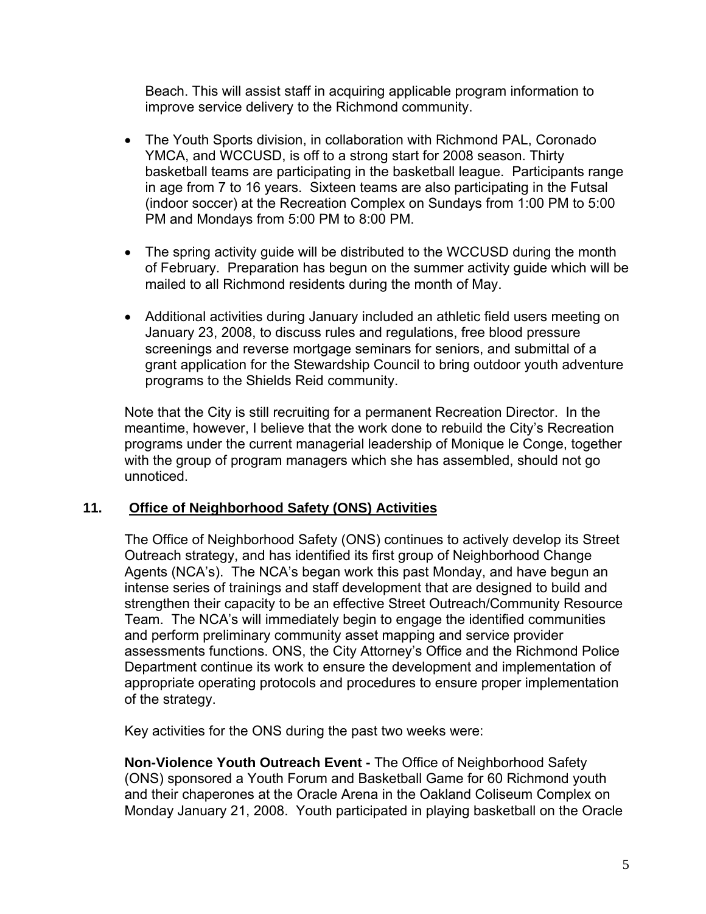Beach. This will assist staff in acquiring applicable program information to improve service delivery to the Richmond community.

- The Youth Sports division, in collaboration with Richmond PAL, Coronado YMCA, and WCCUSD, is off to a strong start for 2008 season. Thirty basketball teams are participating in the basketball league. Participants range in age from 7 to 16 years. Sixteen teams are also participating in the Futsal (indoor soccer) at the Recreation Complex on Sundays from 1:00 PM to 5:00 PM and Mondays from 5:00 PM to 8:00 PM.
- The spring activity guide will be distributed to the WCCUSD during the month of February. Preparation has begun on the summer activity guide which will be mailed to all Richmond residents during the month of May.
- Additional activities during January included an athletic field users meeting on January 23, 2008, to discuss rules and regulations, free blood pressure screenings and reverse mortgage seminars for seniors, and submittal of a grant application for the Stewardship Council to bring outdoor youth adventure programs to the Shields Reid community.

Note that the City is still recruiting for a permanent Recreation Director. In the meantime, however, I believe that the work done to rebuild the City's Recreation programs under the current managerial leadership of Monique le Conge, together with the group of program managers which she has assembled, should not go unnoticed.

# **11. Office of Neighborhood Safety (ONS) Activities**

The Office of Neighborhood Safety (ONS) continues to actively develop its Street Outreach strategy, and has identified its first group of Neighborhood Change Agents (NCA's). The NCA's began work this past Monday, and have begun an intense series of trainings and staff development that are designed to build and strengthen their capacity to be an effective Street Outreach/Community Resource Team. The NCA's will immediately begin to engage the identified communities and perform preliminary community asset mapping and service provider assessments functions. ONS, the City Attorney's Office and the Richmond Police Department continue its work to ensure the development and implementation of appropriate operating protocols and procedures to ensure proper implementation of the strategy.

Key activities for the ONS during the past two weeks were:

**Non-Violence Youth Outreach Event -** The Office of Neighborhood Safety (ONS) sponsored a Youth Forum and Basketball Game for 60 Richmond youth and their chaperones at the Oracle Arena in the Oakland Coliseum Complex on Monday January 21, 2008. Youth participated in playing basketball on the Oracle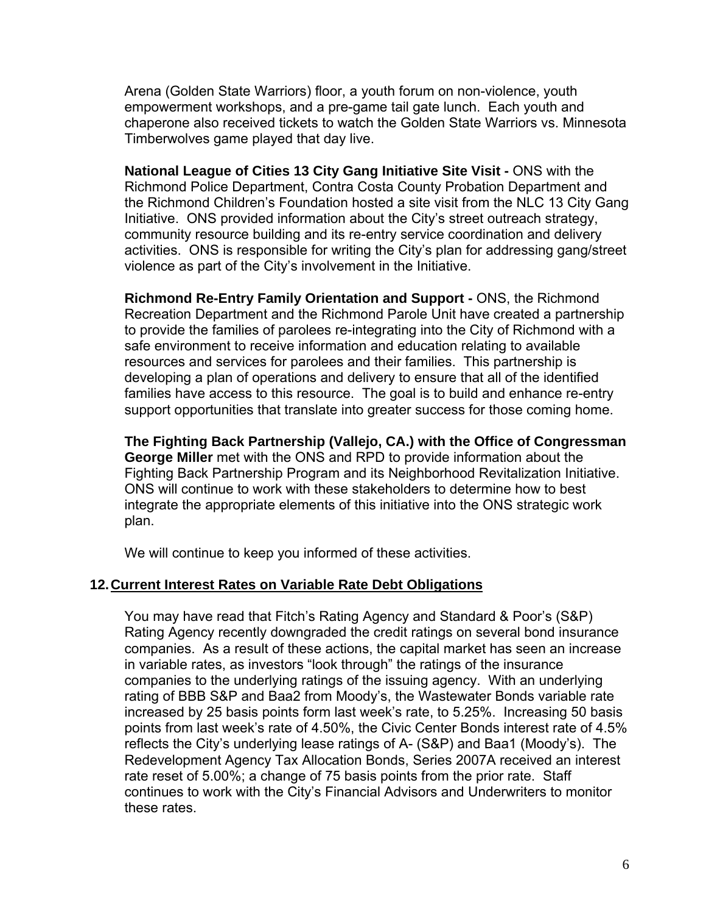Arena (Golden State Warriors) floor, a youth forum on non-violence, youth empowerment workshops, and a pre-game tail gate lunch. Each youth and chaperone also received tickets to watch the Golden State Warriors vs. Minnesota Timberwolves game played that day live.

**National League of Cities 13 City Gang Initiative Site Visit - ONS with the** Richmond Police Department, Contra Costa County Probation Department and the Richmond Children's Foundation hosted a site visit from the NLC 13 City Gang Initiative. ONS provided information about the City's street outreach strategy, community resource building and its re-entry service coordination and delivery activities. ONS is responsible for writing the City's plan for addressing gang/street violence as part of the City's involvement in the Initiative.

**Richmond Re-Entry Family Orientation and Support -** ONS, the Richmond Recreation Department and the Richmond Parole Unit have created a partnership to provide the families of parolees re-integrating into the City of Richmond with a safe environment to receive information and education relating to available resources and services for parolees and their families. This partnership is developing a plan of operations and delivery to ensure that all of the identified families have access to this resource. The goal is to build and enhance re-entry support opportunities that translate into greater success for those coming home.

**The Fighting Back Partnership (Vallejo, CA.) with the Office of Congressman George Miller** met with the ONS and RPD to provide information about the Fighting Back Partnership Program and its Neighborhood Revitalization Initiative. ONS will continue to work with these stakeholders to determine how to best integrate the appropriate elements of this initiative into the ONS strategic work plan.

We will continue to keep you informed of these activities.

#### **12. Current Interest Rates on Variable Rate Debt Obligations**

You may have read that Fitch's Rating Agency and Standard & Poor's (S&P) Rating Agency recently downgraded the credit ratings on several bond insurance companies. As a result of these actions, the capital market has seen an increase in variable rates, as investors "look through" the ratings of the insurance companies to the underlying ratings of the issuing agency. With an underlying rating of BBB S&P and Baa2 from Moody's, the Wastewater Bonds variable rate increased by 25 basis points form last week's rate, to 5.25%. Increasing 50 basis points from last week's rate of 4.50%, the Civic Center Bonds interest rate of 4.5% reflects the City's underlying lease ratings of A- (S&P) and Baa1 (Moody's). The Redevelopment Agency Tax Allocation Bonds, Series 2007A received an interest rate reset of 5.00%; a change of 75 basis points from the prior rate. Staff continues to work with the City's Financial Advisors and Underwriters to monitor these rates.